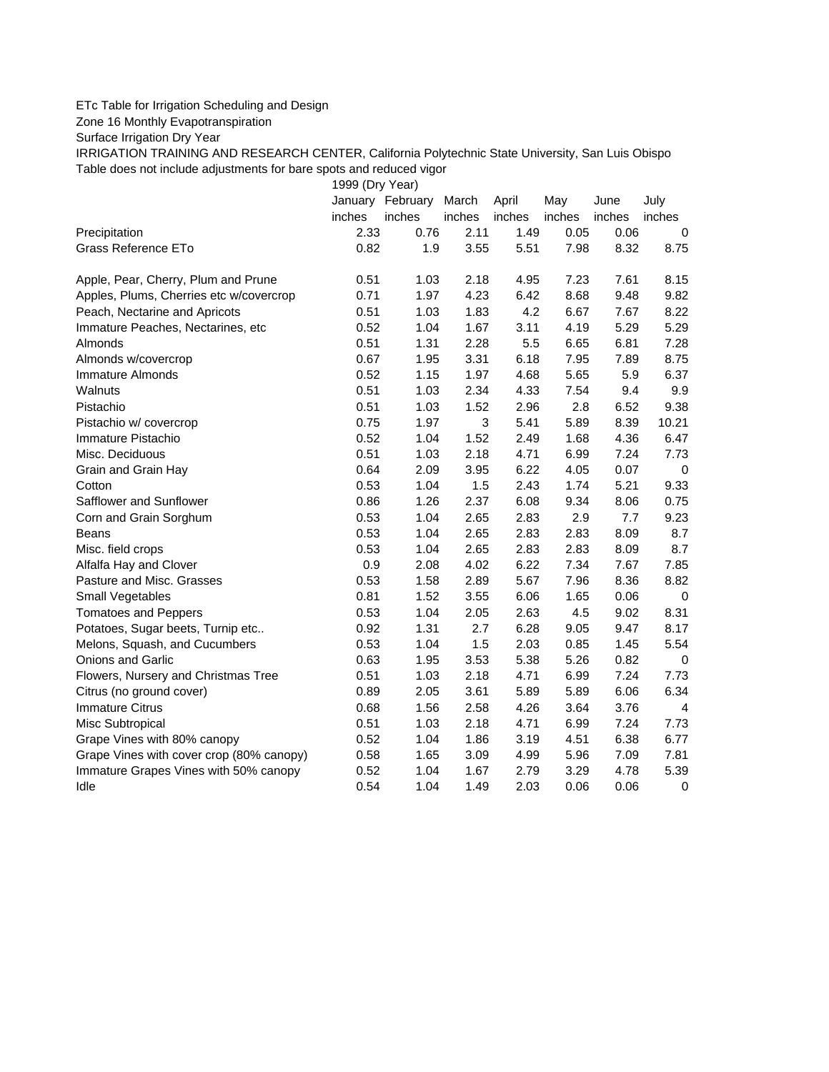## ETc Table for Irrigation Scheduling and Design

Zone 16 Monthly Evapotranspiration

Surface Irrigation Dry Year

IRRIGATION TRAINING AND RESEARCH CENTER, California Polytechnic State University, San Luis Obispo Table does not include adjustments for bare spots and reduced vigor

1999 (Dry Year)

|                                          |                | January February | March          | April          | May          | June           | July           |
|------------------------------------------|----------------|------------------|----------------|----------------|--------------|----------------|----------------|
|                                          | inches<br>2.33 | inches<br>0.76   | inches<br>2.11 | inches<br>1.49 | inches       | inches<br>0.06 | inches         |
| Precipitation<br>Grass Reference ETo     | 0.82           | 1.9              | 3.55           | 5.51           | 0.05<br>7.98 | 8.32           | 0<br>8.75      |
|                                          |                |                  |                |                |              |                |                |
| Apple, Pear, Cherry, Plum and Prune      | 0.51           | 1.03             | 2.18           | 4.95           | 7.23         | 7.61           | 8.15           |
| Apples, Plums, Cherries etc w/covercrop  | 0.71           | 1.97             | 4.23           | 6.42           | 8.68         | 9.48           | 9.82           |
| Peach, Nectarine and Apricots            | 0.51           | 1.03             | 1.83           | 4.2            | 6.67         | 7.67           | 8.22           |
| Immature Peaches, Nectarines, etc        | 0.52           | 1.04             | 1.67           | 3.11           | 4.19         | 5.29           | 5.29           |
| Almonds                                  | 0.51           | 1.31             | 2.28           | 5.5            | 6.65         | 6.81           | 7.28           |
| Almonds w/covercrop                      | 0.67           | 1.95             | 3.31           | 6.18           | 7.95         | 7.89           | 8.75           |
| Immature Almonds                         | 0.52           | 1.15             | 1.97           | 4.68           | 5.65         | 5.9            | 6.37           |
| Walnuts                                  | 0.51           | 1.03             | 2.34           | 4.33           | 7.54         | 9.4            | 9.9            |
| Pistachio                                | 0.51           | 1.03             | 1.52           | 2.96           | 2.8          | 6.52           | 9.38           |
| Pistachio w/ covercrop                   | 0.75           | 1.97             | 3              | 5.41           | 5.89         | 8.39           | 10.21          |
| Immature Pistachio                       | 0.52           | 1.04             | 1.52           | 2.49           | 1.68         | 4.36           | 6.47           |
| Misc. Deciduous                          | 0.51           | 1.03             | 2.18           | 4.71           | 6.99         | 7.24           | 7.73           |
| Grain and Grain Hay                      | 0.64           | 2.09             | 3.95           | 6.22           | 4.05         | 0.07           | $\mathbf 0$    |
| Cotton                                   | 0.53           | 1.04             | 1.5            | 2.43           | 1.74         | 5.21           | 9.33           |
| Safflower and Sunflower                  | 0.86           | 1.26             | 2.37           | 6.08           | 9.34         | 8.06           | 0.75           |
| Corn and Grain Sorghum                   | 0.53           | 1.04             | 2.65           | 2.83           | 2.9          | 7.7            | 9.23           |
| <b>Beans</b>                             | 0.53           | 1.04             | 2.65           | 2.83           | 2.83         | 8.09           | 8.7            |
| Misc. field crops                        | 0.53           | 1.04             | 2.65           | 2.83           | 2.83         | 8.09           | 8.7            |
| Alfalfa Hay and Clover                   | 0.9            | 2.08             | 4.02           | 6.22           | 7.34         | 7.67           | 7.85           |
| Pasture and Misc. Grasses                | 0.53           | 1.58             | 2.89           | 5.67           | 7.96         | 8.36           | 8.82           |
| Small Vegetables                         | 0.81           | 1.52             | 3.55           | 6.06           | 1.65         | 0.06           | $\pmb{0}$      |
| <b>Tomatoes and Peppers</b>              | 0.53           | 1.04             | 2.05           | 2.63           | 4.5          | 9.02           | 8.31           |
| Potatoes, Sugar beets, Turnip etc        | 0.92           | 1.31             | 2.7            | 6.28           | 9.05         | 9.47           | 8.17           |
| Melons, Squash, and Cucumbers            | 0.53           | 1.04             | 1.5            | 2.03           | 0.85         | 1.45           | 5.54           |
| <b>Onions and Garlic</b>                 | 0.63           | 1.95             | 3.53           | 5.38           | 5.26         | 0.82           | 0              |
| Flowers, Nursery and Christmas Tree      | 0.51           | 1.03             | 2.18           | 4.71           | 6.99         | 7.24           | 7.73           |
| Citrus (no ground cover)                 | 0.89           | 2.05             | 3.61           | 5.89           | 5.89         | 6.06           | 6.34           |
| <b>Immature Citrus</b>                   | 0.68           | 1.56             | 2.58           | 4.26           | 3.64         | 3.76           | $\overline{4}$ |
| Misc Subtropical                         | 0.51           | 1.03             | 2.18           | 4.71           | 6.99         | 7.24           | 7.73           |
| Grape Vines with 80% canopy              | 0.52           | 1.04             | 1.86           | 3.19           | 4.51         | 6.38           | 6.77           |
| Grape Vines with cover crop (80% canopy) | 0.58           | 1.65             | 3.09           | 4.99           | 5.96         | 7.09           | 7.81           |
| Immature Grapes Vines with 50% canopy    | 0.52           | 1.04             | 1.67           | 2.79           | 3.29         | 4.78           | 5.39           |
| Idle                                     | 0.54           | 1.04             | 1.49           | 2.03           | 0.06         | 0.06           | $\mathbf 0$    |